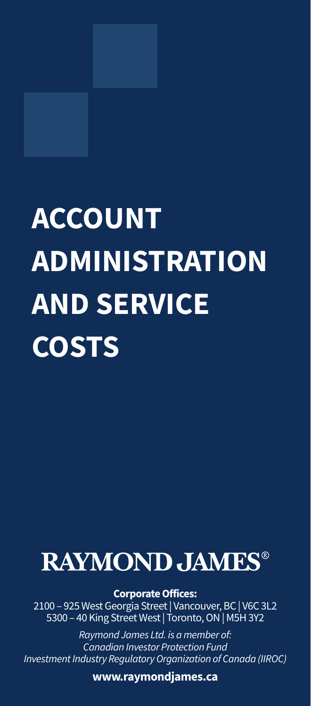# **ACCOUNT ADMINISTRATION AND SERVICE COSTS**

## **RAYMOND JAMES®**

**Corporate Offices:**

2100 – 925 West Georgia Street | Vancouver, BC | V6C 3L2 5300 – 40 King Street West | Toronto, ON | M5H 3Y2

*Raymond James Ltd. is a member of: Canadian Investor Protection Fund Investment Industry Regulatory Organization of Canada (IIROC)*

**www.raymondjames.ca**